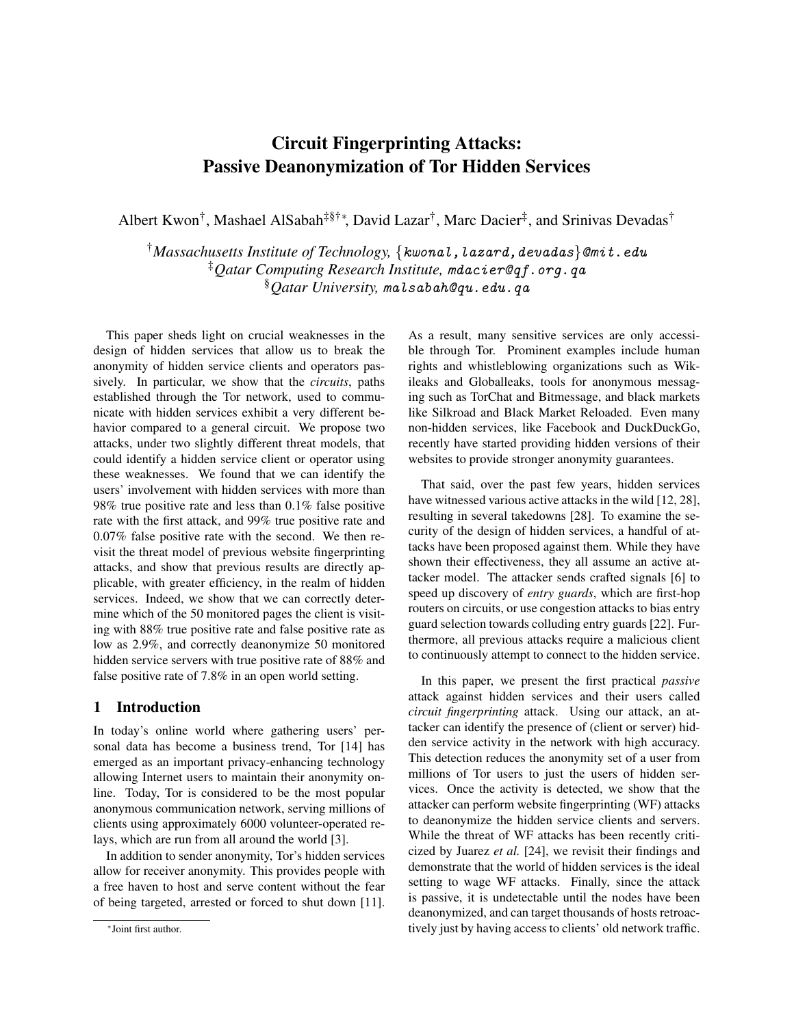# Circuit Fingerprinting Attacks: Passive Deanonymization of Tor Hidden Services

Albert Kwon<sup>†</sup>, Mashael AlSabah<sup>‡§†∗</sup>, David Lazar<sup>†</sup>, Marc Dacier<sup>‡</sup>, and Srinivas Devadas<sup>†</sup>

<sup>†</sup>Massachusetts Institute of Technology, {kwonal, lazard, devadas}@mit.edu ‡*Qatar Computing Research Institute,* mdacier@qf.org.qa §*Qatar University,* malsabah@qu.edu.qa

This paper sheds light on crucial weaknesses in the design of hidden services that allow us to break the anonymity of hidden service clients and operators passively. In particular, we show that the *circuits*, paths established through the Tor network, used to communicate with hidden services exhibit a very different behavior compared to a general circuit. We propose two attacks, under two slightly different threat models, that could identify a hidden service client or operator using these weaknesses. We found that we can identify the users' involvement with hidden services with more than 98% true positive rate and less than 0.1% false positive rate with the first attack, and 99% true positive rate and 0.07% false positive rate with the second. We then revisit the threat model of previous website fingerprinting attacks, and show that previous results are directly applicable, with greater efficiency, in the realm of hidden services. Indeed, we show that we can correctly determine which of the 50 monitored pages the client is visiting with 88% true positive rate and false positive rate as low as 2.9%, and correctly deanonymize 50 monitored hidden service servers with true positive rate of 88% and false positive rate of 7.8% in an open world setting.

## 1 Introduction

In today's online world where gathering users' personal data has become a business trend, Tor [14] has emerged as an important privacy-enhancing technology allowing Internet users to maintain their anonymity online. Today, Tor is considered to be the most popular anonymous communication network, serving millions of clients using approximately 6000 volunteer-operated relays, which are run from all around the world [3].

In addition to sender anonymity, Tor's hidden services allow for receiver anonymity. This provides people with a free haven to host and serve content without the fear of being targeted, arrested or forced to shut down [11]. As a result, many sensitive services are only accessible through Tor. Prominent examples include human rights and whistleblowing organizations such as Wikileaks and Globalleaks, tools for anonymous messaging such as TorChat and Bitmessage, and black markets like Silkroad and Black Market Reloaded. Even many non-hidden services, like Facebook and DuckDuckGo, recently have started providing hidden versions of their websites to provide stronger anonymity guarantees.

That said, over the past few years, hidden services have witnessed various active attacks in the wild [12, 28], resulting in several takedowns [28]. To examine the security of the design of hidden services, a handful of attacks have been proposed against them. While they have shown their effectiveness, they all assume an active attacker model. The attacker sends crafted signals [6] to speed up discovery of *entry guards*, which are first-hop routers on circuits, or use congestion attacks to bias entry guard selection towards colluding entry guards [22]. Furthermore, all previous attacks require a malicious client to continuously attempt to connect to the hidden service.

In this paper, we present the first practical *passive* attack against hidden services and their users called *circuit fingerprinting* attack. Using our attack, an attacker can identify the presence of (client or server) hidden service activity in the network with high accuracy. This detection reduces the anonymity set of a user from millions of Tor users to just the users of hidden services. Once the activity is detected, we show that the attacker can perform website fingerprinting (WF) attacks to deanonymize the hidden service clients and servers. While the threat of WF attacks has been recently criticized by Juarez *et al.* [24], we revisit their findings and demonstrate that the world of hidden services is the ideal setting to wage WF attacks. Finally, since the attack is passive, it is undetectable until the nodes have been deanonymized, and can target thousands of hosts retroactively just by having access to clients' old network traffic.

<sup>∗</sup> Joint first author.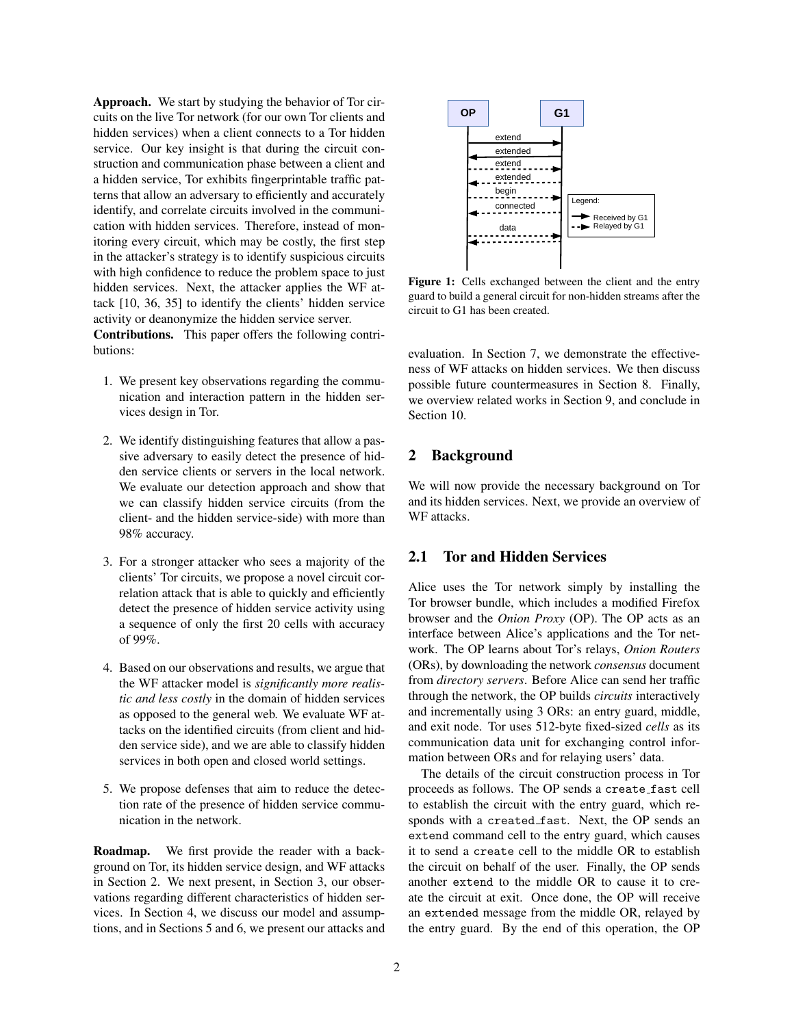Approach. We start by studying the behavior of Tor circuits on the live Tor network (for our own Tor clients and hidden services) when a client connects to a Tor hidden service. Our key insight is that during the circuit construction and communication phase between a client and a hidden service, Tor exhibits fingerprintable traffic patterns that allow an adversary to efficiently and accurately identify, and correlate circuits involved in the communication with hidden services. Therefore, instead of monitoring every circuit, which may be costly, the first step in the attacker's strategy is to identify suspicious circuits with high confidence to reduce the problem space to just hidden services. Next, the attacker applies the WF attack [10, 36, 35] to identify the clients' hidden service activity or deanonymize the hidden service server.

Contributions. This paper offers the following contributions:

- 1. We present key observations regarding the communication and interaction pattern in the hidden services design in Tor.
- 2. We identify distinguishing features that allow a passive adversary to easily detect the presence of hidden service clients or servers in the local network. We evaluate our detection approach and show that we can classify hidden service circuits (from the client- and the hidden service-side) with more than 98% accuracy.
- 3. For a stronger attacker who sees a majority of the clients' Tor circuits, we propose a novel circuit correlation attack that is able to quickly and efficiently detect the presence of hidden service activity using a sequence of only the first 20 cells with accuracy of 99%.
- 4. Based on our observations and results, we argue that the WF attacker model is *significantly more realistic and less costly* in the domain of hidden services as opposed to the general web. We evaluate WF attacks on the identified circuits (from client and hidden service side), and we are able to classify hidden services in both open and closed world settings.
- 5. We propose defenses that aim to reduce the detection rate of the presence of hidden service communication in the network.

Roadmap. We first provide the reader with a background on Tor, its hidden service design, and WF attacks in Section 2. We next present, in Section 3, our observations regarding different characteristics of hidden services. In Section 4, we discuss our model and assumptions, and in Sections 5 and 6, we present our attacks and



Figure 1: Cells exchanged between the client and the entry guard to build a general circuit for non-hidden streams after the circuit to G1 has been created.

evaluation. In Section 7, we demonstrate the effectiveness of WF attacks on hidden services. We then discuss possible future countermeasures in Section 8. Finally, we overview related works in Section 9, and conclude in Section 10.

# 2 Background

We will now provide the necessary background on Tor and its hidden services. Next, we provide an overview of WF attacks.

# 2.1 Tor and Hidden Services

Alice uses the Tor network simply by installing the Tor browser bundle, which includes a modified Firefox browser and the *Onion Proxy* (OP). The OP acts as an interface between Alice's applications and the Tor network. The OP learns about Tor's relays, *Onion Routers* (ORs), by downloading the network *consensus* document from *directory servers*. Before Alice can send her traffic through the network, the OP builds *circuits* interactively and incrementally using 3 ORs: an entry guard, middle, and exit node. Tor uses 512-byte fixed-sized *cells* as its communication data unit for exchanging control information between ORs and for relaying users' data.

The details of the circuit construction process in Tor proceeds as follows. The OP sends a create fast cell to establish the circuit with the entry guard, which responds with a created fast. Next, the OP sends an extend command cell to the entry guard, which causes it to send a create cell to the middle OR to establish the circuit on behalf of the user. Finally, the OP sends another extend to the middle OR to cause it to create the circuit at exit. Once done, the OP will receive an extended message from the middle OR, relayed by the entry guard. By the end of this operation, the OP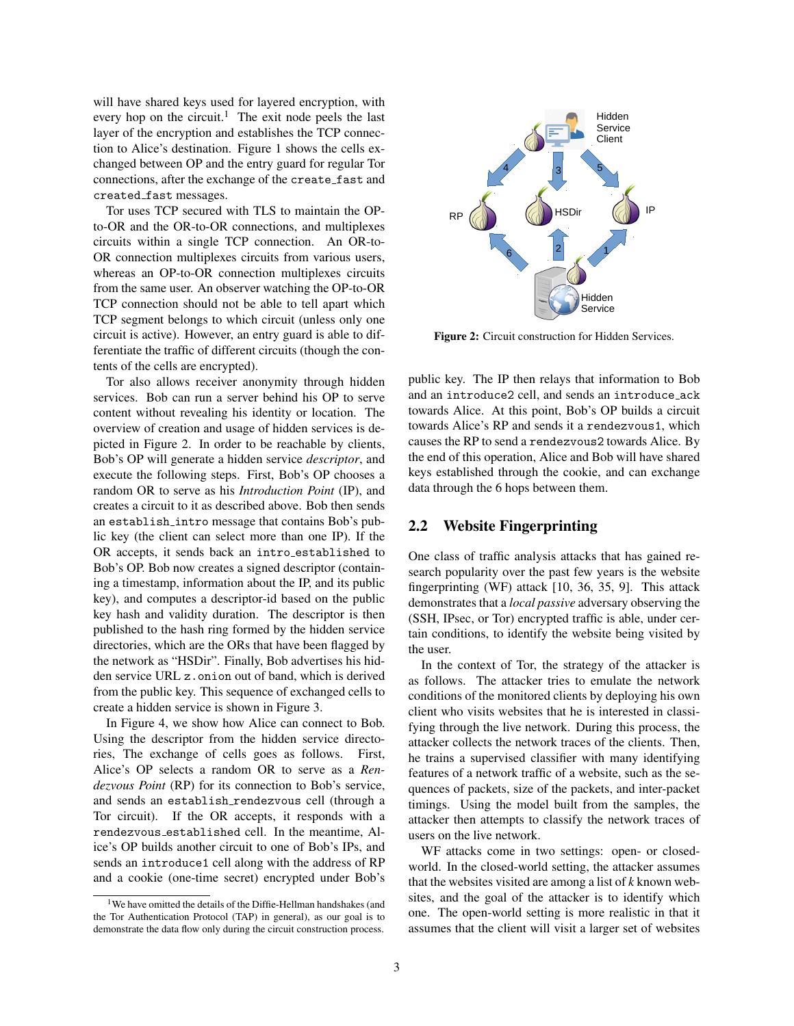will have shared keys used for layered encryption, with every hop on the circuit.<sup>1</sup> The exit node peels the last layer of the encryption and establishes the TCP connection to Alice's destination. Figure 1 shows the cells exchanged between OP and the entry guard for regular Tor connections, after the exchange of the create fast and created fast messages.

Tor uses TCP secured with TLS to maintain the OPto-OR and the OR-to-OR connections, and multiplexes circuits within a single TCP connection. An OR-to-OR connection multiplexes circuits from various users, whereas an OP-to-OR connection multiplexes circuits from the same user. An observer watching the OP-to-OR TCP connection should not be able to tell apart which TCP segment belongs to which circuit (unless only one circuit is active). However, an entry guard is able to differentiate the traffic of different circuits (though the contents of the cells are encrypted).

Tor also allows receiver anonymity through hidden services. Bob can run a server behind his OP to serve content without revealing his identity or location. The overview of creation and usage of hidden services is depicted in Figure 2. In order to be reachable by clients, Bob's OP will generate a hidden service *descriptor*, and execute the following steps. First, Bob's OP chooses a random OR to serve as his *Introduction Point* (IP), and creates a circuit to it as described above. Bob then sends an establish intro message that contains Bob's public key (the client can select more than one IP). If the OR accepts, it sends back an intro established to Bob's OP. Bob now creates a signed descriptor (containing a timestamp, information about the IP, and its public key), and computes a descriptor-id based on the public key hash and validity duration. The descriptor is then published to the hash ring formed by the hidden service directories, which are the ORs that have been flagged by the network as "HSDir". Finally, Bob advertises his hidden service URL z.onion out of band, which is derived from the public key. This sequence of exchanged cells to create a hidden service is shown in Figure 3.

In Figure 4, we show how Alice can connect to Bob. Using the descriptor from the hidden service directories, The exchange of cells goes as follows. First, Alice's OP selects a random OR to serve as a *Rendezvous Point* (RP) for its connection to Bob's service, and sends an establish rendezvous cell (through a Tor circuit). If the OR accepts, it responds with a rendezvous established cell. In the meantime, Alice's OP builds another circuit to one of Bob's IPs, and sends an introduce1 cell along with the address of RP and a cookie (one-time secret) encrypted under Bob's



Figure 2: Circuit construction for Hidden Services.

public key. The IP then relays that information to Bob and an introduce2 cell, and sends an introduce ack towards Alice. At this point, Bob's OP builds a circuit towards Alice's RP and sends it a rendezvous1, which causes the RP to send a rendezvous2 towards Alice. By the end of this operation, Alice and Bob will have shared keys established through the cookie, and can exchange data through the 6 hops between them.

## 2.2 Website Fingerprinting

One class of traffic analysis attacks that has gained research popularity over the past few years is the website fingerprinting (WF) attack [10, 36, 35, 9]. This attack demonstrates that a *local passive* adversary observing the (SSH, IPsec, or Tor) encrypted traffic is able, under certain conditions, to identify the website being visited by the user.

In the context of Tor, the strategy of the attacker is as follows. The attacker tries to emulate the network conditions of the monitored clients by deploying his own client who visits websites that he is interested in classifying through the live network. During this process, the attacker collects the network traces of the clients. Then, he trains a supervised classifier with many identifying features of a network traffic of a website, such as the sequences of packets, size of the packets, and inter-packet timings. Using the model built from the samples, the attacker then attempts to classify the network traces of users on the live network.

WF attacks come in two settings: open- or closedworld. In the closed-world setting, the attacker assumes that the websites visited are among a list of *k* known websites, and the goal of the attacker is to identify which one. The open-world setting is more realistic in that it assumes that the client will visit a larger set of websites

<sup>1</sup>We have omitted the details of the Diffie-Hellman handshakes (and the Tor Authentication Protocol (TAP) in general), as our goal is to demonstrate the data flow only during the circuit construction process.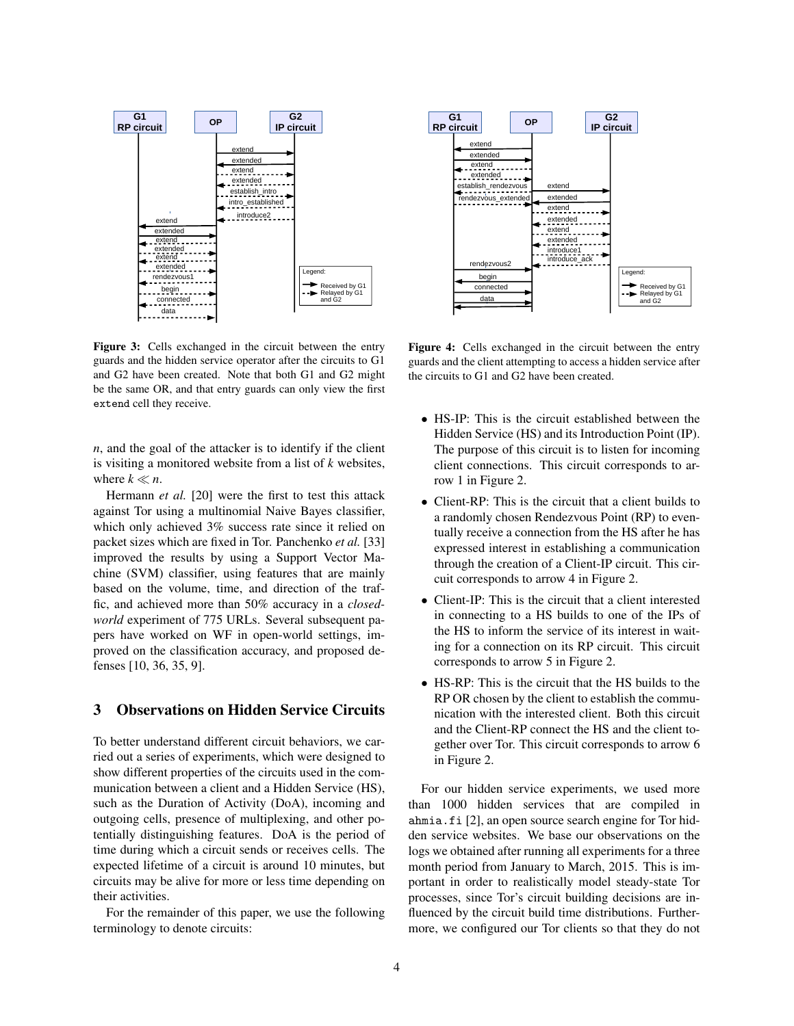

Figure 3: Cells exchanged in the circuit between the entry guards and the hidden service operator after the circuits to G1 and G2 have been created. Note that both G1 and G2 might be the same OR, and that entry guards can only view the first extend cell they receive.

*n*, and the goal of the attacker is to identify if the client is visiting a monitored website from a list of *k* websites, where  $k \ll n$ .

Hermann *et al.* [20] were the first to test this attack against Tor using a multinomial Naive Bayes classifier, which only achieved 3% success rate since it relied on packet sizes which are fixed in Tor. Panchenko *et al.* [33] improved the results by using a Support Vector Machine (SVM) classifier, using features that are mainly based on the volume, time, and direction of the traffic, and achieved more than 50% accuracy in a *closedworld* experiment of 775 URLs. Several subsequent papers have worked on WF in open-world settings, improved on the classification accuracy, and proposed defenses [10, 36, 35, 9].

#### 3 Observations on Hidden Service Circuits

To better understand different circuit behaviors, we carried out a series of experiments, which were designed to show different properties of the circuits used in the communication between a client and a Hidden Service (HS), such as the Duration of Activity (DoA), incoming and outgoing cells, presence of multiplexing, and other potentially distinguishing features. DoA is the period of time during which a circuit sends or receives cells. The expected lifetime of a circuit is around 10 minutes, but circuits may be alive for more or less time depending on their activities.

For the remainder of this paper, we use the following terminology to denote circuits:



Figure 4: Cells exchanged in the circuit between the entry guards and the client attempting to access a hidden service after the circuits to G1 and G2 have been created.

- HS-IP: This is the circuit established between the Hidden Service (HS) and its Introduction Point (IP). The purpose of this circuit is to listen for incoming client connections. This circuit corresponds to arrow 1 in Figure 2.
- Client-RP: This is the circuit that a client builds to a randomly chosen Rendezvous Point (RP) to eventually receive a connection from the HS after he has expressed interest in establishing a communication through the creation of a Client-IP circuit. This circuit corresponds to arrow 4 in Figure 2.
- Client-IP: This is the circuit that a client interested in connecting to a HS builds to one of the IPs of the HS to inform the service of its interest in waiting for a connection on its RP circuit. This circuit corresponds to arrow 5 in Figure 2.
- HS-RP: This is the circuit that the HS builds to the RP OR chosen by the client to establish the communication with the interested client. Both this circuit and the Client-RP connect the HS and the client together over Tor. This circuit corresponds to arrow 6 in Figure 2.

For our hidden service experiments, we used more than 1000 hidden services that are compiled in ahmia.fi [2], an open source search engine for Tor hidden service websites. We base our observations on the logs we obtained after running all experiments for a three month period from January to March, 2015. This is important in order to realistically model steady-state Tor processes, since Tor's circuit building decisions are influenced by the circuit build time distributions. Furthermore, we configured our Tor clients so that they do not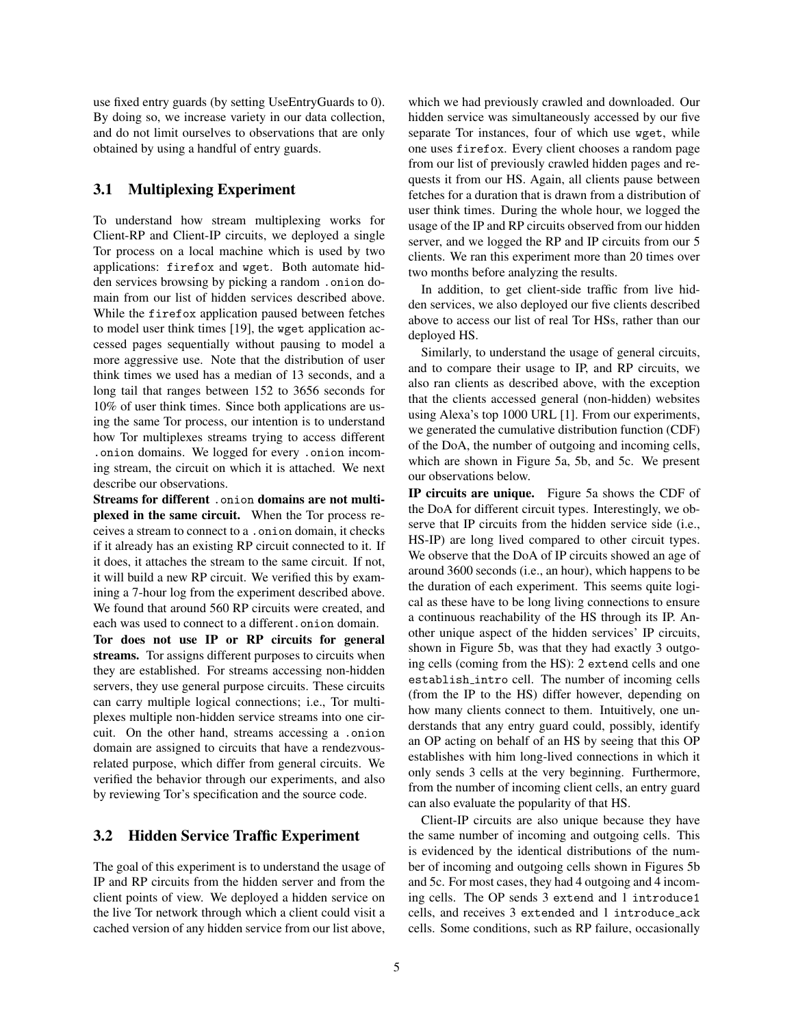use fixed entry guards (by setting UseEntryGuards to 0). By doing so, we increase variety in our data collection, and do not limit ourselves to observations that are only obtained by using a handful of entry guards.

## 3.1 Multiplexing Experiment

To understand how stream multiplexing works for Client-RP and Client-IP circuits, we deployed a single Tor process on a local machine which is used by two applications: firefox and wget. Both automate hidden services browsing by picking a random .onion domain from our list of hidden services described above. While the firefox application paused between fetches to model user think times [19], the wget application accessed pages sequentially without pausing to model a more aggressive use. Note that the distribution of user think times we used has a median of 13 seconds, and a long tail that ranges between 152 to 3656 seconds for 10% of user think times. Since both applications are using the same Tor process, our intention is to understand how Tor multiplexes streams trying to access different .onion domains. We logged for every .onion incoming stream, the circuit on which it is attached. We next describe our observations.

Streams for different . onion domains are not multiplexed in the same circuit. When the Tor process receives a stream to connect to a .onion domain, it checks if it already has an existing RP circuit connected to it. If it does, it attaches the stream to the same circuit. If not, it will build a new RP circuit. We verified this by examining a 7-hour log from the experiment described above. We found that around 560 RP circuits were created, and each was used to connect to a different.onion domain.

Tor does not use IP or RP circuits for general streams. Tor assigns different purposes to circuits when they are established. For streams accessing non-hidden servers, they use general purpose circuits. These circuits can carry multiple logical connections; i.e., Tor multiplexes multiple non-hidden service streams into one circuit. On the other hand, streams accessing a .onion domain are assigned to circuits that have a rendezvousrelated purpose, which differ from general circuits. We verified the behavior through our experiments, and also by reviewing Tor's specification and the source code.

#### 3.2 Hidden Service Traffic Experiment

The goal of this experiment is to understand the usage of IP and RP circuits from the hidden server and from the client points of view. We deployed a hidden service on the live Tor network through which a client could visit a cached version of any hidden service from our list above, which we had previously crawled and downloaded. Our hidden service was simultaneously accessed by our five separate Tor instances, four of which use wget, while one uses firefox. Every client chooses a random page from our list of previously crawled hidden pages and requests it from our HS. Again, all clients pause between fetches for a duration that is drawn from a distribution of user think times. During the whole hour, we logged the usage of the IP and RP circuits observed from our hidden server, and we logged the RP and IP circuits from our 5 clients. We ran this experiment more than 20 times over two months before analyzing the results.

In addition, to get client-side traffic from live hidden services, we also deployed our five clients described above to access our list of real Tor HSs, rather than our deployed HS.

Similarly, to understand the usage of general circuits, and to compare their usage to IP, and RP circuits, we also ran clients as described above, with the exception that the clients accessed general (non-hidden) websites using Alexa's top 1000 URL [1]. From our experiments, we generated the cumulative distribution function (CDF) of the DoA, the number of outgoing and incoming cells, which are shown in Figure 5a, 5b, and 5c. We present our observations below.

IP circuits are unique. Figure 5a shows the CDF of the DoA for different circuit types. Interestingly, we observe that IP circuits from the hidden service side (i.e., HS-IP) are long lived compared to other circuit types. We observe that the DoA of IP circuits showed an age of around 3600 seconds (i.e., an hour), which happens to be the duration of each experiment. This seems quite logical as these have to be long living connections to ensure a continuous reachability of the HS through its IP. Another unique aspect of the hidden services' IP circuits, shown in Figure 5b, was that they had exactly 3 outgoing cells (coming from the HS): 2 extend cells and one establish intro cell. The number of incoming cells (from the IP to the HS) differ however, depending on how many clients connect to them. Intuitively, one understands that any entry guard could, possibly, identify an OP acting on behalf of an HS by seeing that this OP establishes with him long-lived connections in which it only sends 3 cells at the very beginning. Furthermore, from the number of incoming client cells, an entry guard can also evaluate the popularity of that HS.

Client-IP circuits are also unique because they have the same number of incoming and outgoing cells. This is evidenced by the identical distributions of the number of incoming and outgoing cells shown in Figures 5b and 5c. For most cases, they had 4 outgoing and 4 incoming cells. The OP sends 3 extend and 1 introduce1 cells, and receives 3 extended and 1 introduce ack cells. Some conditions, such as RP failure, occasionally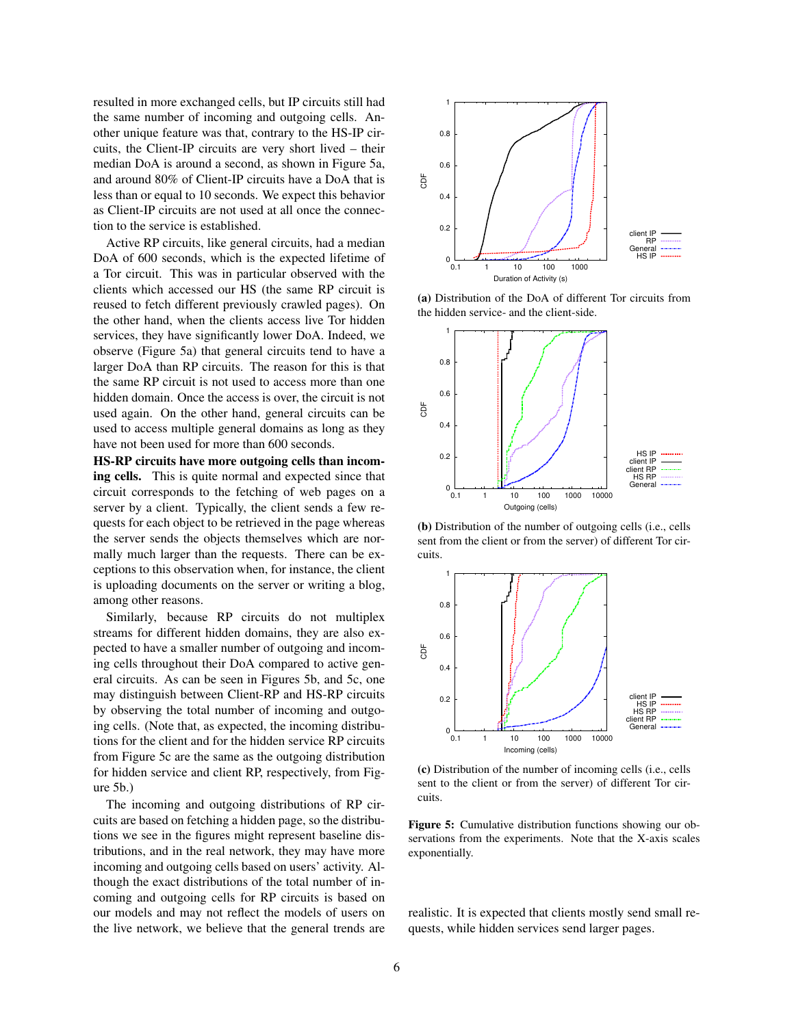resulted in more exchanged cells, but IP circuits still had the same number of incoming and outgoing cells. Another unique feature was that, contrary to the HS-IP circuits, the Client-IP circuits are very short lived – their median DoA is around a second, as shown in Figure 5a, and around 80% of Client-IP circuits have a DoA that is less than or equal to 10 seconds. We expect this behavior as Client-IP circuits are not used at all once the connection to the service is established.

Active RP circuits, like general circuits, had a median DoA of 600 seconds, which is the expected lifetime of a Tor circuit. This was in particular observed with the clients which accessed our HS (the same RP circuit is reused to fetch different previously crawled pages). On the other hand, when the clients access live Tor hidden services, they have significantly lower DoA. Indeed, we observe (Figure 5a) that general circuits tend to have a larger DoA than RP circuits. The reason for this is that the same RP circuit is not used to access more than one hidden domain. Once the access is over, the circuit is not used again. On the other hand, general circuits can be used to access multiple general domains as long as they have not been used for more than 600 seconds.

HS-RP circuits have more outgoing cells than incoming cells. This is quite normal and expected since that circuit corresponds to the fetching of web pages on a server by a client. Typically, the client sends a few requests for each object to be retrieved in the page whereas the server sends the objects themselves which are normally much larger than the requests. There can be exceptions to this observation when, for instance, the client is uploading documents on the server or writing a blog, among other reasons.

Similarly, because RP circuits do not multiplex streams for different hidden domains, they are also expected to have a smaller number of outgoing and incoming cells throughout their DoA compared to active general circuits. As can be seen in Figures 5b, and 5c, one may distinguish between Client-RP and HS-RP circuits by observing the total number of incoming and outgoing cells. (Note that, as expected, the incoming distributions for the client and for the hidden service RP circuits from Figure 5c are the same as the outgoing distribution for hidden service and client RP, respectively, from Figure 5b.)

The incoming and outgoing distributions of RP circuits are based on fetching a hidden page, so the distributions we see in the figures might represent baseline distributions, and in the real network, they may have more incoming and outgoing cells based on users' activity. Although the exact distributions of the total number of incoming and outgoing cells for RP circuits is based on our models and may not reflect the models of users on the live network, we believe that the general trends are



(a) Distribution of the DoA of different Tor circuits from the hidden service- and the client-side.



(b) Distribution of the number of outgoing cells (i.e., cells sent from the client or from the server) of different Tor circuits.



(c) Distribution of the number of incoming cells (i.e., cells sent to the client or from the server) of different Tor circuits.

Figure 5: Cumulative distribution functions showing our observations from the experiments. Note that the X-axis scales exponentially.

realistic. It is expected that clients mostly send small requests, while hidden services send larger pages.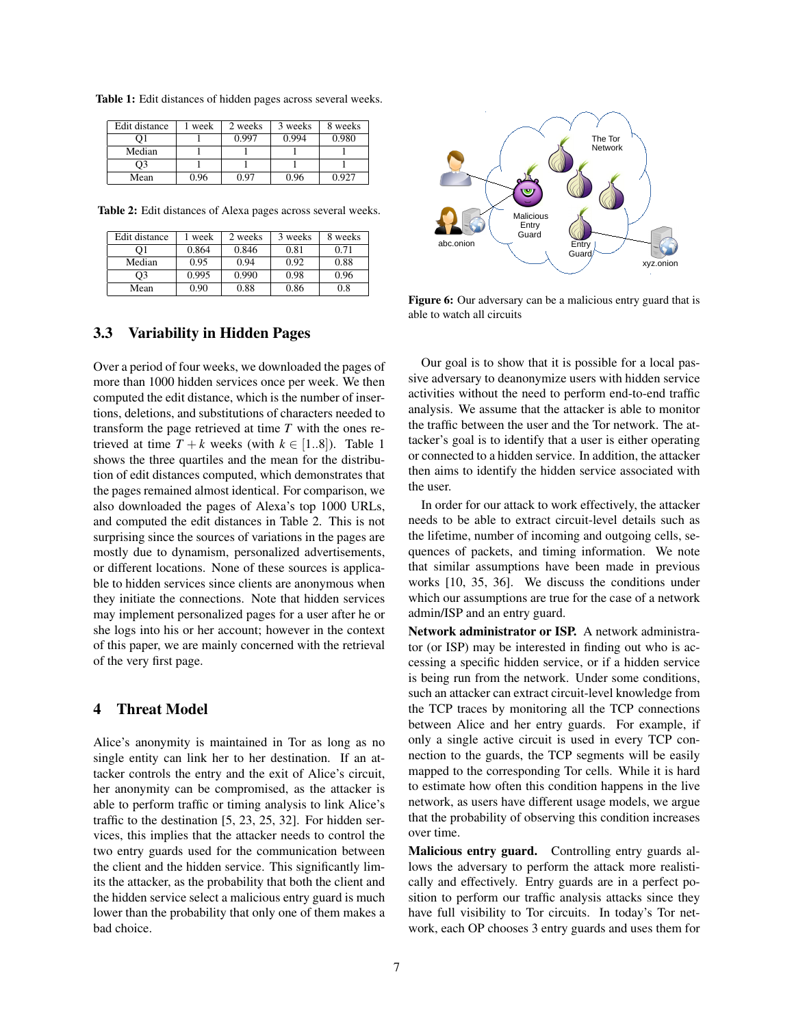| Edit distance | week | 2 weeks | 3 weeks | 8 weeks |
|---------------|------|---------|---------|---------|
| O1            |      | 0.997   | 0.994   | 0.980   |
| Median        |      |         |         |         |
| O3            |      |         |         |         |
| Mean          | 0.96 | 0.97    | 0.96    | ገ ባንገ   |

Table 1: Edit distances of hidden pages across several weeks.

Table 2: Edit distances of Alexa pages across several weeks.

| Edit distance | week  | 2 weeks | 3 weeks | 8 weeks |
|---------------|-------|---------|---------|---------|
| O1            | 0.864 | 0.846   | 0.81    | 0.71    |
| Median        | 0.95  | 0.94    | 0.92    | 0.88    |
| O3            | 0.995 | 0.990   | 0.98    | 0.96    |
| Mean          | 0.90  | 0.88    | 0.86    | 0.8     |

#### 3.3 Variability in Hidden Pages

Over a period of four weeks, we downloaded the pages of more than 1000 hidden services once per week. We then computed the edit distance, which is the number of insertions, deletions, and substitutions of characters needed to transform the page retrieved at time *T* with the ones retrieved at time  $T + k$  weeks (with  $k \in [1..8]$ ). Table 1 shows the three quartiles and the mean for the distribution of edit distances computed, which demonstrates that the pages remained almost identical. For comparison, we also downloaded the pages of Alexa's top 1000 URLs, and computed the edit distances in Table 2. This is not surprising since the sources of variations in the pages are mostly due to dynamism, personalized advertisements, or different locations. None of these sources is applicable to hidden services since clients are anonymous when they initiate the connections. Note that hidden services may implement personalized pages for a user after he or she logs into his or her account; however in the context of this paper, we are mainly concerned with the retrieval of the very first page.

# 4 Threat Model

Alice's anonymity is maintained in Tor as long as no single entity can link her to her destination. If an attacker controls the entry and the exit of Alice's circuit, her anonymity can be compromised, as the attacker is able to perform traffic or timing analysis to link Alice's traffic to the destination [5, 23, 25, 32]. For hidden services, this implies that the attacker needs to control the two entry guards used for the communication between the client and the hidden service. This significantly limits the attacker, as the probability that both the client and the hidden service select a malicious entry guard is much lower than the probability that only one of them makes a bad choice.



Figure 6: Our adversary can be a malicious entry guard that is able to watch all circuits

Our goal is to show that it is possible for a local passive adversary to deanonymize users with hidden service activities without the need to perform end-to-end traffic analysis. We assume that the attacker is able to monitor the traffic between the user and the Tor network. The attacker's goal is to identify that a user is either operating or connected to a hidden service. In addition, the attacker then aims to identify the hidden service associated with the user.

In order for our attack to work effectively, the attacker needs to be able to extract circuit-level details such as the lifetime, number of incoming and outgoing cells, sequences of packets, and timing information. We note that similar assumptions have been made in previous works [10, 35, 36]. We discuss the conditions under which our assumptions are true for the case of a network admin/ISP and an entry guard.

Network administrator or ISP. A network administrator (or ISP) may be interested in finding out who is accessing a specific hidden service, or if a hidden service is being run from the network. Under some conditions, such an attacker can extract circuit-level knowledge from the TCP traces by monitoring all the TCP connections between Alice and her entry guards. For example, if only a single active circuit is used in every TCP connection to the guards, the TCP segments will be easily mapped to the corresponding Tor cells. While it is hard to estimate how often this condition happens in the live network, as users have different usage models, we argue that the probability of observing this condition increases over time.

Malicious entry guard. Controlling entry guards allows the adversary to perform the attack more realistically and effectively. Entry guards are in a perfect position to perform our traffic analysis attacks since they have full visibility to Tor circuits. In today's Tor network, each OP chooses 3 entry guards and uses them for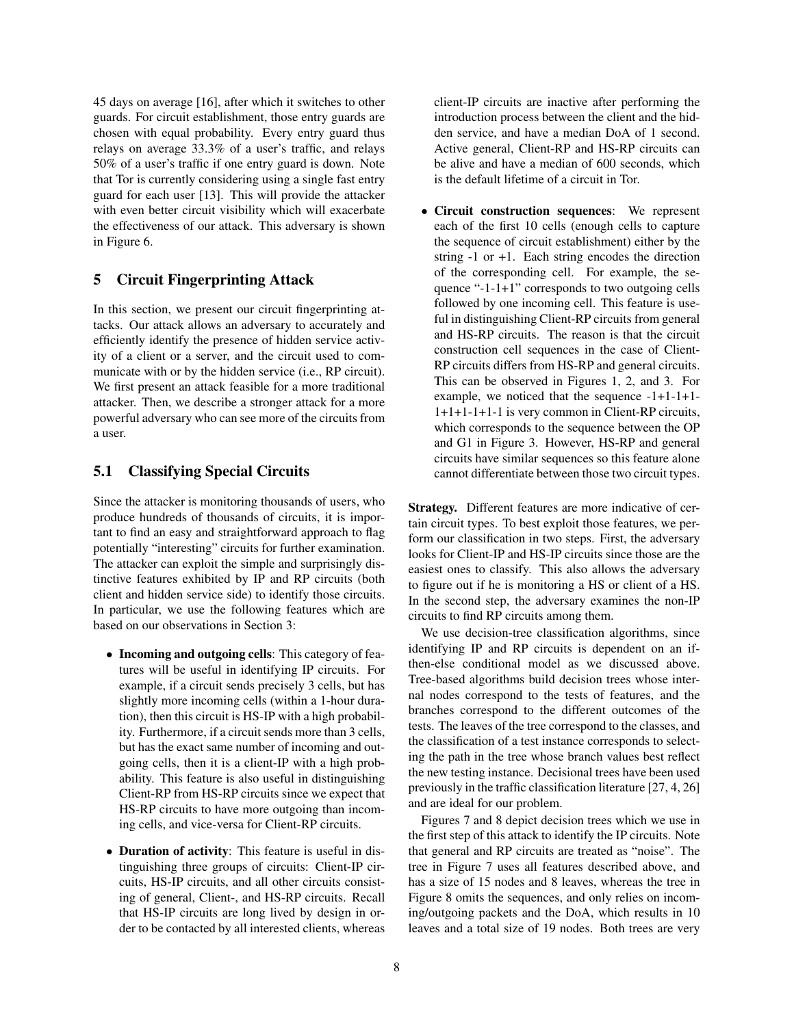45 days on average [16], after which it switches to other guards. For circuit establishment, those entry guards are chosen with equal probability. Every entry guard thus relays on average 33.3% of a user's traffic, and relays 50% of a user's traffic if one entry guard is down. Note that Tor is currently considering using a single fast entry guard for each user [13]. This will provide the attacker with even better circuit visibility which will exacerbate the effectiveness of our attack. This adversary is shown in Figure 6.

# 5 Circuit Fingerprinting Attack

In this section, we present our circuit fingerprinting attacks. Our attack allows an adversary to accurately and efficiently identify the presence of hidden service activity of a client or a server, and the circuit used to communicate with or by the hidden service (i.e., RP circuit). We first present an attack feasible for a more traditional attacker. Then, we describe a stronger attack for a more powerful adversary who can see more of the circuits from a user.

#### 5.1 Classifying Special Circuits

Since the attacker is monitoring thousands of users, who produce hundreds of thousands of circuits, it is important to find an easy and straightforward approach to flag potentially "interesting" circuits for further examination. The attacker can exploit the simple and surprisingly distinctive features exhibited by IP and RP circuits (both client and hidden service side) to identify those circuits. In particular, we use the following features which are based on our observations in Section 3:

- Incoming and outgoing cells: This category of features will be useful in identifying IP circuits. For example, if a circuit sends precisely 3 cells, but has slightly more incoming cells (within a 1-hour duration), then this circuit is HS-IP with a high probability. Furthermore, if a circuit sends more than 3 cells, but has the exact same number of incoming and outgoing cells, then it is a client-IP with a high probability. This feature is also useful in distinguishing Client-RP from HS-RP circuits since we expect that HS-RP circuits to have more outgoing than incoming cells, and vice-versa for Client-RP circuits.
- Duration of activity: This feature is useful in distinguishing three groups of circuits: Client-IP circuits, HS-IP circuits, and all other circuits consisting of general, Client-, and HS-RP circuits. Recall that HS-IP circuits are long lived by design in order to be contacted by all interested clients, whereas

client-IP circuits are inactive after performing the introduction process between the client and the hidden service, and have a median DoA of 1 second. Active general, Client-RP and HS-RP circuits can be alive and have a median of 600 seconds, which is the default lifetime of a circuit in Tor.

• Circuit construction sequences: We represent each of the first 10 cells (enough cells to capture the sequence of circuit establishment) either by the string -1 or +1. Each string encodes the direction of the corresponding cell. For example, the sequence "-1-1+1" corresponds to two outgoing cells followed by one incoming cell. This feature is useful in distinguishing Client-RP circuits from general and HS-RP circuits. The reason is that the circuit construction cell sequences in the case of Client-RP circuits differs from HS-RP and general circuits. This can be observed in Figures 1, 2, and 3. For example, we noticed that the sequence -1+1-1+1- 1+1+1-1+1-1 is very common in Client-RP circuits, which corresponds to the sequence between the OP and G1 in Figure 3. However, HS-RP and general circuits have similar sequences so this feature alone cannot differentiate between those two circuit types.

Strategy. Different features are more indicative of certain circuit types. To best exploit those features, we perform our classification in two steps. First, the adversary looks for Client-IP and HS-IP circuits since those are the easiest ones to classify. This also allows the adversary to figure out if he is monitoring a HS or client of a HS. In the second step, the adversary examines the non-IP circuits to find RP circuits among them.

We use decision-tree classification algorithms, since identifying IP and RP circuits is dependent on an ifthen-else conditional model as we discussed above. Tree-based algorithms build decision trees whose internal nodes correspond to the tests of features, and the branches correspond to the different outcomes of the tests. The leaves of the tree correspond to the classes, and the classification of a test instance corresponds to selecting the path in the tree whose branch values best reflect the new testing instance. Decisional trees have been used previously in the traffic classification literature [27, 4, 26] and are ideal for our problem.

Figures 7 and 8 depict decision trees which we use in the first step of this attack to identify the IP circuits. Note that general and RP circuits are treated as "noise". The tree in Figure 7 uses all features described above, and has a size of 15 nodes and 8 leaves, whereas the tree in Figure 8 omits the sequences, and only relies on incoming/outgoing packets and the DoA, which results in 10 leaves and a total size of 19 nodes. Both trees are very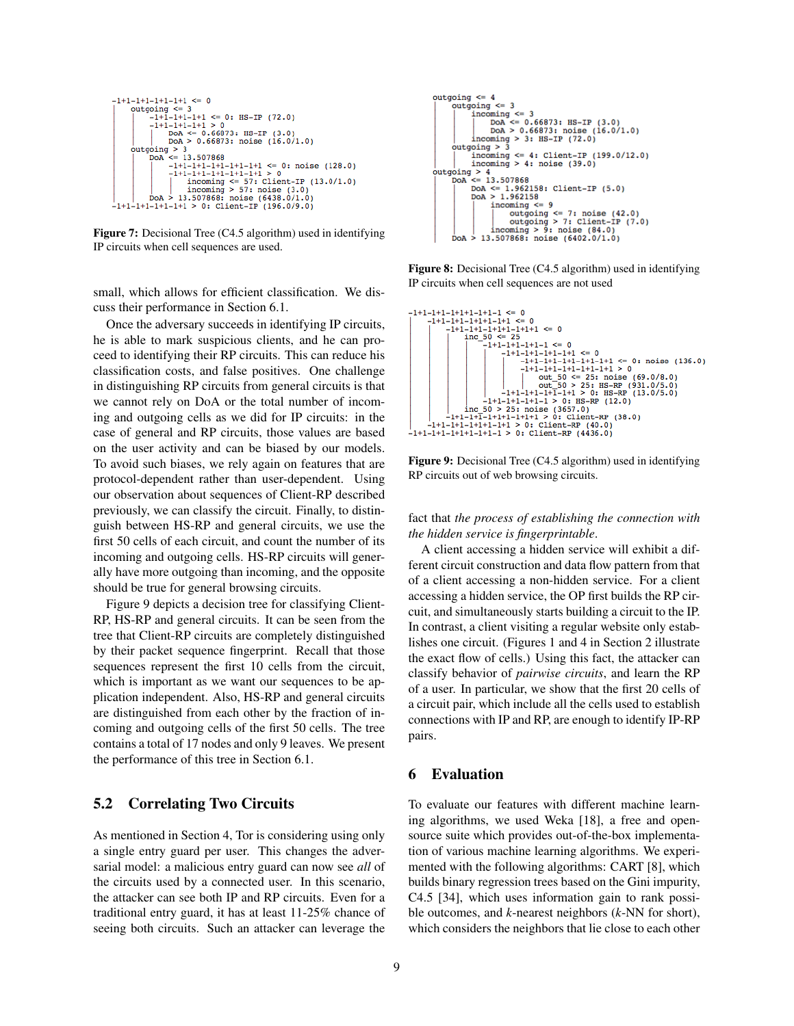```
-1+1-1+1-1+1-1+1 \le 0outgoing \leq 3<br> \vert -1+1-1+1-1+1 \leq 0: HS-IP (72.0)
                   -1+1-1+1-1+1 > 0\text{DoA} \leq 0.66873: HS-IP (3.0)<br>DOA > 0.66873: noise (16.0/1.0)
         \frac{\text{outgoing} > 3}{\text{DoA}} = 13.507868
                           -1+1-1+1-1+1-1+1-1+1 \le 0: noise (128.0)
-1+1-1+1-1+1-1+1-1+1-1+1=0
-1+1-1+1-1+1-1+1-1+1>0
incoming <= 57: Client-IP (13.0/1.0)<br>
\log \geq 57: noise (3.0)<br>
\log \geq 57: noise (3.0)<br>
DoA > 13.507868: noise (6438.0/1.0)<br>
-1+1-1+1-1+1-1+1>0: Client-IP (196.0/9.0
```
Figure 7: Decisional Tree (C4.5 algorithm) used in identifying IP circuits when cell sequences are used.

small, which allows for efficient classification. We discuss their performance in Section 6.1.

Once the adversary succeeds in identifying IP circuits, he is able to mark suspicious clients, and he can proceed to identifying their RP circuits. This can reduce his classification costs, and false positives. One challenge in distinguishing RP circuits from general circuits is that we cannot rely on DoA or the total number of incoming and outgoing cells as we did for IP circuits: in the case of general and RP circuits, those values are based on the user activity and can be biased by our models. To avoid such biases, we rely again on features that are protocol-dependent rather than user-dependent. Using our observation about sequences of Client-RP described previously, we can classify the circuit. Finally, to distinguish between HS-RP and general circuits, we use the first 50 cells of each circuit, and count the number of its incoming and outgoing cells. HS-RP circuits will generally have more outgoing than incoming, and the opposite should be true for general browsing circuits.

Figure 9 depicts a decision tree for classifying Client-RP, HS-RP and general circuits. It can be seen from the tree that Client-RP circuits are completely distinguished by their packet sequence fingerprint. Recall that those sequences represent the first 10 cells from the circuit, which is important as we want our sequences to be application independent. Also, HS-RP and general circuits are distinguished from each other by the fraction of incoming and outgoing cells of the first 50 cells. The tree contains a total of 17 nodes and only 9 leaves. We present the performance of this tree in Section 6.1.

## 5.2 Correlating Two Circuits

As mentioned in Section 4, Tor is considering using only a single entry guard per user. This changes the adversarial model: a malicious entry guard can now see *all* of the circuits used by a connected user. In this scenario, the attacker can see both IP and RP circuits. Even for a traditional entry guard, it has at least 11-25% chance of seeing both circuits. Such an attacker can leverage the

```
outgoing \leq 4outgoing \leq 3<br>| incoming <= 3
              \begin{array}{rcl} \text{Integning} & \text{x=} & 3 \ \text{noning} & \text{DoA} & \text{66873: H5-IP} & (3.0) \ \text{DoA} & \text{DoA} & \text{0.66873: noise} & (16.0/1.0) \ \text{incoming} & \text{3: H5-IP} & (72.0) \ \text{outgoing} & \text{3: H5-IP} & (72.0) \ \text{intomial} & \text{x=} & \text{inomial} & \text{x=} & (199.0/12) \end{array}incoming \leq 4: Client-IP (199.0/12.0)
                        incoming > 4: noise (39.0)\begin{array}{ll} \text{outgoing} > 4 \\ \text{DoA} <= 13.507868 \end{array}DOA <= 1.962158: Client-IP (5.0)<br>DOA > 1.962158
                                     incoming \leq 9\begin{array}{c} \square \text{outgoing} \leq 7 \text{: noise (42.0)} \\ \text{outgoing} > 7 \text{: Client-IP (7.0)} \\ \text{incoming} > 9 \text{: noise (84.0)} \end{array}DoA > 13.507868: noise (6402.0/1.0)
```
Figure 8: Decisional Tree (C4.5 algorithm) used in identifying IP circuits when cell sequences are not used



Figure 9: Decisional Tree (C4.5 algorithm) used in identifying RP circuits out of web browsing circuits.

fact that *the process of establishing the connection with the hidden service is fingerprintable*.

A client accessing a hidden service will exhibit a different circuit construction and data flow pattern from that of a client accessing a non-hidden service. For a client accessing a hidden service, the OP first builds the RP circuit, and simultaneously starts building a circuit to the IP. In contrast, a client visiting a regular website only establishes one circuit. (Figures 1 and 4 in Section 2 illustrate the exact flow of cells.) Using this fact, the attacker can classify behavior of *pairwise circuits*, and learn the RP of a user. In particular, we show that the first 20 cells of a circuit pair, which include all the cells used to establish connections with IP and RP, are enough to identify IP-RP pairs.

## 6 Evaluation

To evaluate our features with different machine learning algorithms, we used Weka [18], a free and opensource suite which provides out-of-the-box implementation of various machine learning algorithms. We experimented with the following algorithms: CART [8], which builds binary regression trees based on the Gini impurity, C4.5 [34], which uses information gain to rank possible outcomes, and *k*-nearest neighbors (*k*-NN for short), which considers the neighbors that lie close to each other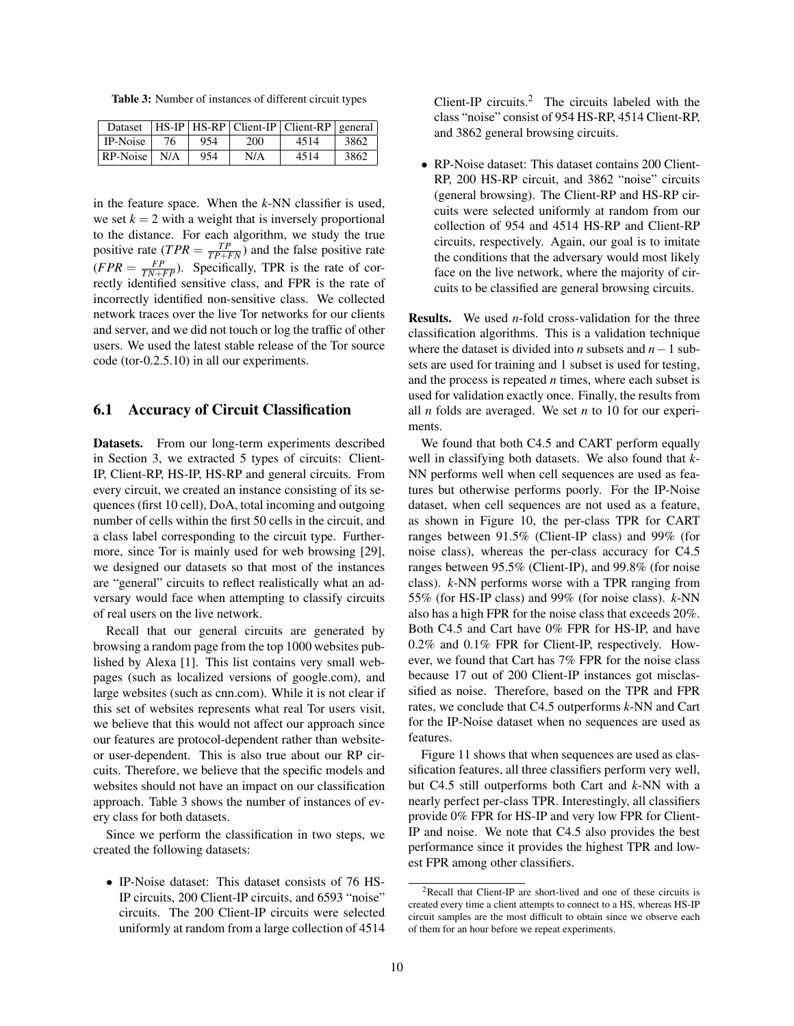Table 3: Number of instances of different circuit types

| Dataset  |     |     |     | $ $ HS-IP $ $ HS-RP $ $ Client-IP $ $ Client-RP $ $ general |      |
|----------|-----|-----|-----|-------------------------------------------------------------|------|
| IP-Noise | 76  | 954 | 200 | 4514                                                        | 3862 |
| RP-Noise | N/A | 954 | N/A | 4514                                                        | 3862 |

in the feature space. When the *k*-NN classifier is used, we set  $k = 2$  with a weight that is inversely proportional to the distance. For each algorithm, we study the true positive rate  $(TPR = \frac{TP}{TP + FN})$  and the false positive rate  $(FPR = \frac{FP}{TN + FP})$ . Specifically, TPR is the rate of correctly identified sensitive class, and FPR is the rate of incorrectly identified non-sensitive class. We collected network traces over the live Tor networks for our clients and server, and we did not touch or log the traffic of other users. We used the latest stable release of the Tor source code (tor-0.2.5.10) in all our experiments.

#### 6.1 Accuracy of Circuit Classification

Datasets. From our long-term experiments described in Section 3, we extracted 5 types of circuits: Client-IP, Client-RP, HS-IP, HS-RP and general circuits. From every circuit, we created an instance consisting of its sequences (first 10 cell), DoA, total incoming and outgoing number of cells within the first 50 cells in the circuit, and a class label corresponding to the circuit type. Furthermore, since Tor is mainly used for web browsing [29], we designed our datasets so that most of the instances are "general" circuits to reflect realistically what an adversary would face when attempting to classify circuits of real users on the live network.

Recall that our general circuits are generated by browsing a random page from the top 1000 websites published by Alexa [1]. This list contains very small webpages (such as localized versions of google.com), and large websites (such as cnn.com). While it is not clear if this set of websites represents what real Tor users visit, we believe that this would not affect our approach since our features are protocol-dependent rather than websiteor user-dependent. This is also true about our RP circuits. Therefore, we believe that the specific models and websites should not have an impact on our classification approach. Table 3 shows the number of instances of every class for both datasets.

Since we perform the classification in two steps, we created the following datasets:

• IP-Noise dataset: This dataset consists of 76 HS-IP circuits, 200 Client-IP circuits, and 6593 "noise" circuits. The 200 Client-IP circuits were selected uniformly at random from a large collection of 4514 Client-IP circuits. $^2$  The circuits labeled with the class "noise" consist of 954 HS-RP, 4514 Client-RP, and 3862 general browsing circuits.

• RP-Noise dataset: This dataset contains 200 Client-RP, 200 HS-RP circuit, and 3862 "noise" circuits (general browsing). The Client-RP and HS-RP circuits were selected uniformly at random from our collection of 954 and 4514 HS-RP and Client-RP circuits, respectively. Again, our goal is to imitate the conditions that the adversary would most likely face on the live network, where the majority of circuits to be classified are general browsing circuits.

Results. We used *n*-fold cross-validation for the three classification algorithms. This is a validation technique where the dataset is divided into *n* subsets and *n*−1 subsets are used for training and 1 subset is used for testing, and the process is repeated *n* times, where each subset is used for validation exactly once. Finally, the results from all *n* folds are averaged. We set *n* to 10 for our experiments.

We found that both C4.5 and CART perform equally well in classifying both datasets. We also found that *k*-NN performs well when cell sequences are used as features but otherwise performs poorly. For the IP-Noise dataset, when cell sequences are not used as a feature, as shown in Figure 10, the per-class TPR for CART ranges between 91.5% (Client-IP class) and 99% (for noise class), whereas the per-class accuracy for C4.5 ranges between 95.5% (Client-IP), and 99.8% (for noise class). *k*-NN performs worse with a TPR ranging from 55% (for HS-IP class) and 99% (for noise class). *k*-NN also has a high FPR for the noise class that exceeds 20%. Both C4.5 and Cart have 0% FPR for HS-IP, and have 0.2% and 0.1% FPR for Client-IP, respectively. However, we found that Cart has 7% FPR for the noise class because 17 out of 200 Client-IP instances got misclassified as noise. Therefore, based on the TPR and FPR rates, we conclude that C4.5 outperforms *k*-NN and Cart for the IP-Noise dataset when no sequences are used as features.

Figure 11 shows that when sequences are used as classification features, all three classifiers perform very well, but C4.5 still outperforms both Cart and *k*-NN with a nearly perfect per-class TPR. Interestingly, all classifiers provide 0% FPR for HS-IP and very low FPR for Client-IP and noise. We note that C4.5 also provides the best performance since it provides the highest TPR and lowest FPR among other classifiers.

<sup>2</sup>Recall that Client-IP are short-lived and one of these circuits is created every time a client attempts to connect to a HS, whereas HS-IP circuit samples are the most difficult to obtain since we observe each of them for an hour before we repeat experiments.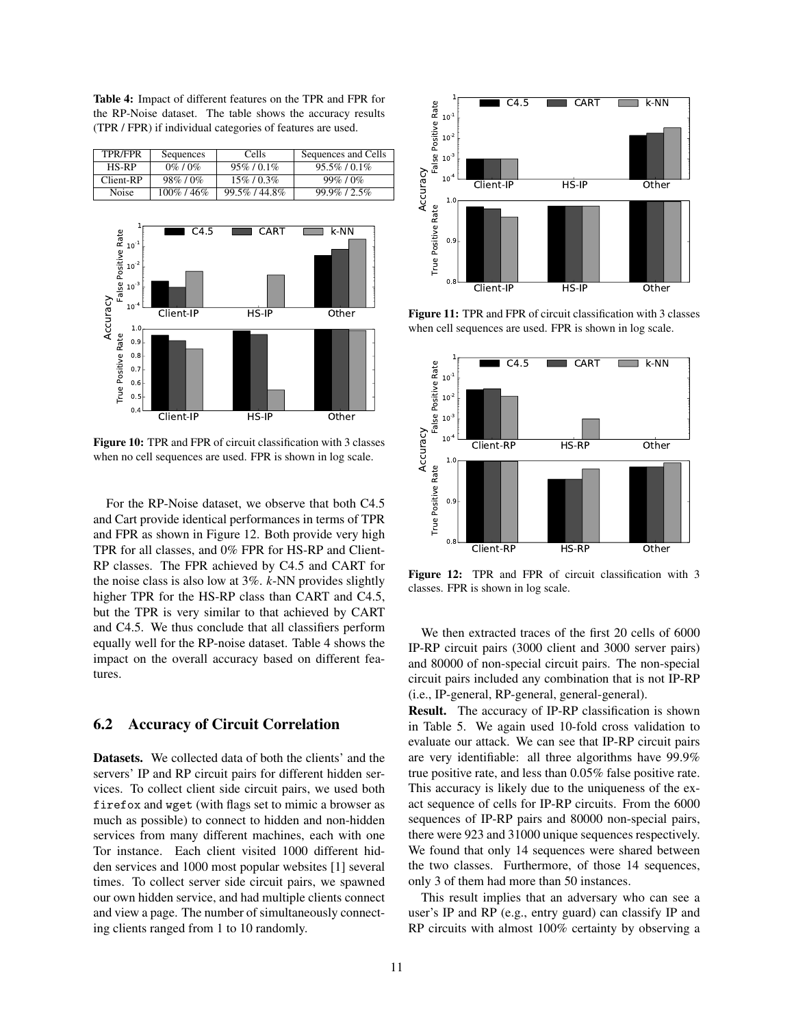Table 4: Impact of different features on the TPR and FPR for the RP-Noise dataset. The table shows the accuracy results (TPR / FPR) if individual categories of features are used.

| TPR/FPR      | Sequences     | Cells          | Sequences and Cells |
|--------------|---------------|----------------|---------------------|
| $HS-RP$      | $0\%$ / $0\%$ | $95\% / 0.1\%$ | $95.5\%$ / 0.1\%    |
| Client-RP    | $98\%$ / 0\%  | $15\%$ / 0.3%  | $99\% / 0\%$        |
| <b>Noise</b> | 100%/46%      | 99.5%/44.8%    | $99.9\%$ / 2.5%     |



Figure 10: TPR and FPR of circuit classification with 3 classes when no cell sequences are used. FPR is shown in log scale.

For the RP-Noise dataset, we observe that both C4.5 and Cart provide identical performances in terms of TPR and FPR as shown in Figure 12. Both provide very high TPR for all classes, and 0% FPR for HS-RP and Client-RP classes. The FPR achieved by C4.5 and CART for the noise class is also low at 3%. *k*-NN provides slightly higher TPR for the HS-RP class than CART and C4.5, but the TPR is very similar to that achieved by CART and C4.5. We thus conclude that all classifiers perform equally well for the RP-noise dataset. Table 4 shows the impact on the overall accuracy based on different features.

## 6.2 Accuracy of Circuit Correlation

Datasets. We collected data of both the clients' and the servers' IP and RP circuit pairs for different hidden services. To collect client side circuit pairs, we used both firefox and wget (with flags set to mimic a browser as much as possible) to connect to hidden and non-hidden services from many different machines, each with one Tor instance. Each client visited 1000 different hidden services and 1000 most popular websites [1] several times. To collect server side circuit pairs, we spawned our own hidden service, and had multiple clients connect and view a page. The number of simultaneously connecting clients ranged from 1 to 10 randomly.



Figure 11: TPR and FPR of circuit classification with 3 classes when cell sequences are used. FPR is shown in log scale.



Figure 12: TPR and FPR of circuit classification with 3 classes. FPR is shown in log scale.

We then extracted traces of the first 20 cells of 6000 IP-RP circuit pairs (3000 client and 3000 server pairs) and 80000 of non-special circuit pairs. The non-special circuit pairs included any combination that is not IP-RP (i.e., IP-general, RP-general, general-general).

Result. The accuracy of IP-RP classification is shown in Table 5. We again used 10-fold cross validation to evaluate our attack. We can see that IP-RP circuit pairs are very identifiable: all three algorithms have 99.9% true positive rate, and less than 0.05% false positive rate. This accuracy is likely due to the uniqueness of the exact sequence of cells for IP-RP circuits. From the 6000 sequences of IP-RP pairs and 80000 non-special pairs, there were 923 and 31000 unique sequences respectively. We found that only 14 sequences were shared between the two classes. Furthermore, of those 14 sequences, only 3 of them had more than 50 instances.

This result implies that an adversary who can see a user's IP and RP (e.g., entry guard) can classify IP and RP circuits with almost 100% certainty by observing a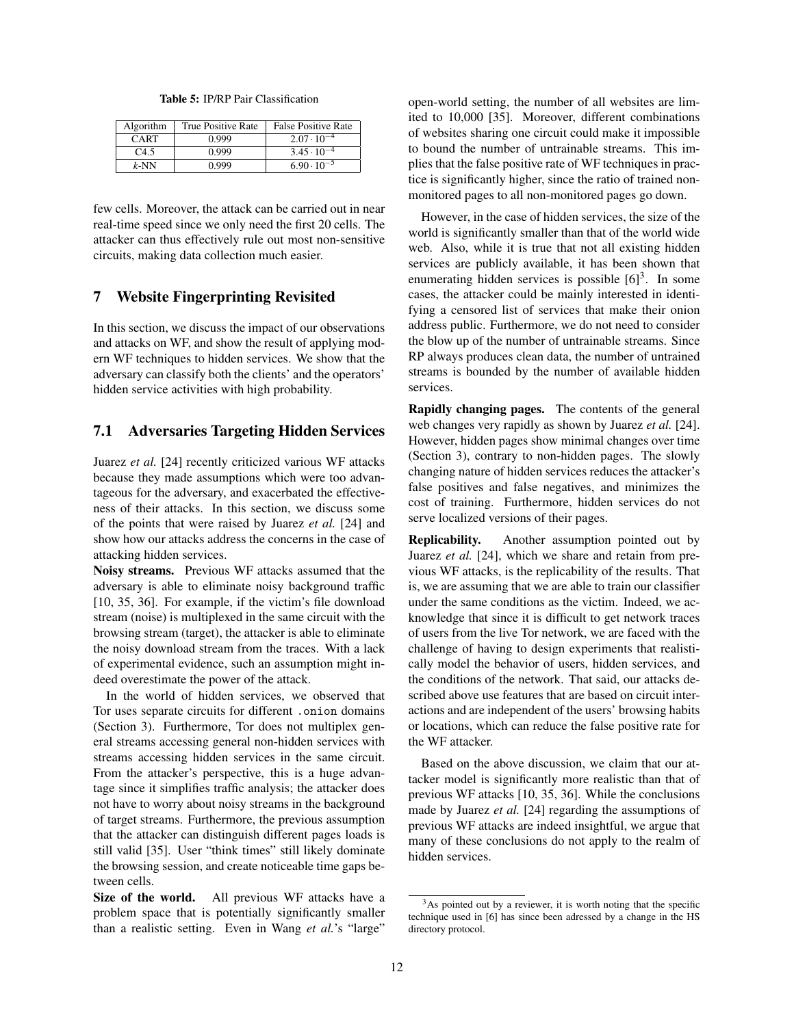|  |  | <b>Table 5: IP/RP Pair Classification</b> |
|--|--|-------------------------------------------|
|--|--|-------------------------------------------|

| Algorithm   | True Positive Rate | <b>False Positive Rate</b> |
|-------------|--------------------|----------------------------|
| <b>CART</b> | 0.999              | $2.07 \cdot 10^{-4}$       |
| C4.5        | 0.999              | $3.45 \cdot 10^{-4}$       |
| $k$ -NN     | 0.999              | $6.90 \cdot 10^{-5}$       |

few cells. Moreover, the attack can be carried out in near real-time speed since we only need the first 20 cells. The attacker can thus effectively rule out most non-sensitive circuits, making data collection much easier.

## 7 Website Fingerprinting Revisited

In this section, we discuss the impact of our observations and attacks on WF, and show the result of applying modern WF techniques to hidden services. We show that the adversary can classify both the clients' and the operators' hidden service activities with high probability.

# 7.1 Adversaries Targeting Hidden Services

Juarez *et al.* [24] recently criticized various WF attacks because they made assumptions which were too advantageous for the adversary, and exacerbated the effectiveness of their attacks. In this section, we discuss some of the points that were raised by Juarez *et al.* [24] and show how our attacks address the concerns in the case of attacking hidden services.

Noisy streams. Previous WF attacks assumed that the adversary is able to eliminate noisy background traffic [10, 35, 36]. For example, if the victim's file download stream (noise) is multiplexed in the same circuit with the browsing stream (target), the attacker is able to eliminate the noisy download stream from the traces. With a lack of experimental evidence, such an assumption might indeed overestimate the power of the attack.

In the world of hidden services, we observed that Tor uses separate circuits for different .onion domains (Section 3). Furthermore, Tor does not multiplex general streams accessing general non-hidden services with streams accessing hidden services in the same circuit. From the attacker's perspective, this is a huge advantage since it simplifies traffic analysis; the attacker does not have to worry about noisy streams in the background of target streams. Furthermore, the previous assumption that the attacker can distinguish different pages loads is still valid [35]. User "think times" still likely dominate the browsing session, and create noticeable time gaps between cells.

Size of the world. All previous WF attacks have a problem space that is potentially significantly smaller than a realistic setting. Even in Wang *et al.*'s "large" open-world setting, the number of all websites are limited to 10,000 [35]. Moreover, different combinations of websites sharing one circuit could make it impossible to bound the number of untrainable streams. This implies that the false positive rate of WF techniques in practice is significantly higher, since the ratio of trained nonmonitored pages to all non-monitored pages go down.

However, in the case of hidden services, the size of the world is significantly smaller than that of the world wide web. Also, while it is true that not all existing hidden services are publicly available, it has been shown that enumerating hidden services is possible  $[6]^3$ . In some cases, the attacker could be mainly interested in identifying a censored list of services that make their onion address public. Furthermore, we do not need to consider the blow up of the number of untrainable streams. Since RP always produces clean data, the number of untrained streams is bounded by the number of available hidden services.

Rapidly changing pages. The contents of the general web changes very rapidly as shown by Juarez *et al.* [24]. However, hidden pages show minimal changes over time (Section 3), contrary to non-hidden pages. The slowly changing nature of hidden services reduces the attacker's false positives and false negatives, and minimizes the cost of training. Furthermore, hidden services do not serve localized versions of their pages.

Replicability. Another assumption pointed out by Juarez *et al.* [24], which we share and retain from previous WF attacks, is the replicability of the results. That is, we are assuming that we are able to train our classifier under the same conditions as the victim. Indeed, we acknowledge that since it is difficult to get network traces of users from the live Tor network, we are faced with the challenge of having to design experiments that realistically model the behavior of users, hidden services, and the conditions of the network. That said, our attacks described above use features that are based on circuit interactions and are independent of the users' browsing habits or locations, which can reduce the false positive rate for the WF attacker.

Based on the above discussion, we claim that our attacker model is significantly more realistic than that of previous WF attacks [10, 35, 36]. While the conclusions made by Juarez *et al.* [24] regarding the assumptions of previous WF attacks are indeed insightful, we argue that many of these conclusions do not apply to the realm of hidden services.

<sup>&</sup>lt;sup>3</sup>As pointed out by a reviewer, it is worth noting that the specific technique used in [6] has since been adressed by a change in the HS directory protocol.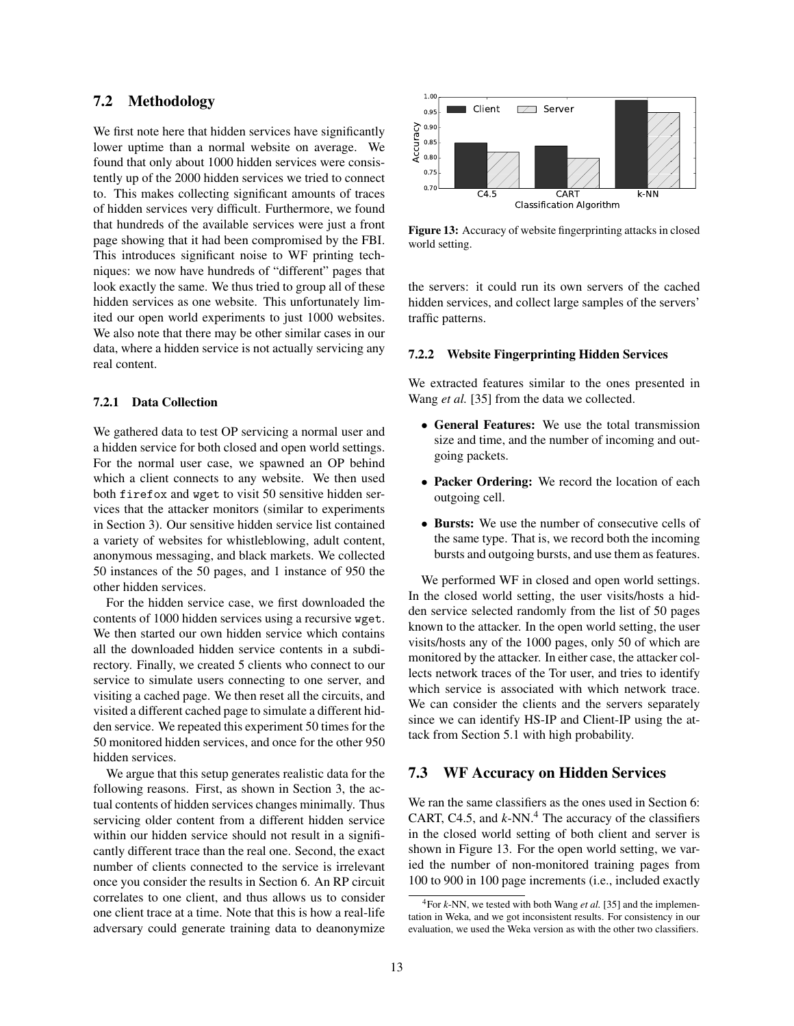## 7.2 Methodology

We first note here that hidden services have significantly lower uptime than a normal website on average. We found that only about 1000 hidden services were consistently up of the 2000 hidden services we tried to connect to. This makes collecting significant amounts of traces of hidden services very difficult. Furthermore, we found that hundreds of the available services were just a front page showing that it had been compromised by the FBI. This introduces significant noise to WF printing techniques: we now have hundreds of "different" pages that look exactly the same. We thus tried to group all of these hidden services as one website. This unfortunately limited our open world experiments to just 1000 websites. We also note that there may be other similar cases in our data, where a hidden service is not actually servicing any real content.

### 7.2.1 Data Collection

We gathered data to test OP servicing a normal user and a hidden service for both closed and open world settings. For the normal user case, we spawned an OP behind which a client connects to any website. We then used both firefox and wget to visit 50 sensitive hidden services that the attacker monitors (similar to experiments in Section 3). Our sensitive hidden service list contained a variety of websites for whistleblowing, adult content, anonymous messaging, and black markets. We collected 50 instances of the 50 pages, and 1 instance of 950 the other hidden services.

For the hidden service case, we first downloaded the contents of 1000 hidden services using a recursive wget. We then started our own hidden service which contains all the downloaded hidden service contents in a subdirectory. Finally, we created 5 clients who connect to our service to simulate users connecting to one server, and visiting a cached page. We then reset all the circuits, and visited a different cached page to simulate a different hidden service. We repeated this experiment 50 times for the 50 monitored hidden services, and once for the other 950 hidden services.

We argue that this setup generates realistic data for the following reasons. First, as shown in Section 3, the actual contents of hidden services changes minimally. Thus servicing older content from a different hidden service within our hidden service should not result in a significantly different trace than the real one. Second, the exact number of clients connected to the service is irrelevant once you consider the results in Section 6. An RP circuit correlates to one client, and thus allows us to consider one client trace at a time. Note that this is how a real-life adversary could generate training data to deanonymize



Figure 13: Accuracy of website fingerprinting attacks in closed world setting.

the servers: it could run its own servers of the cached hidden services, and collect large samples of the servers' traffic patterns.

#### 7.2.2 Website Fingerprinting Hidden Services

We extracted features similar to the ones presented in Wang *et al.* [35] from the data we collected.

- General Features: We use the total transmission size and time, and the number of incoming and outgoing packets.
- Packer Ordering: We record the location of each outgoing cell.
- Bursts: We use the number of consecutive cells of the same type. That is, we record both the incoming bursts and outgoing bursts, and use them as features.

We performed WF in closed and open world settings. In the closed world setting, the user visits/hosts a hidden service selected randomly from the list of 50 pages known to the attacker. In the open world setting, the user visits/hosts any of the 1000 pages, only 50 of which are monitored by the attacker. In either case, the attacker collects network traces of the Tor user, and tries to identify which service is associated with which network trace. We can consider the clients and the servers separately since we can identify HS-IP and Client-IP using the attack from Section 5.1 with high probability.

## 7.3 WF Accuracy on Hidden Services

We ran the same classifiers as the ones used in Section 6: CART, C4.5, and  $k$ -NN.<sup>4</sup> The accuracy of the classifiers in the closed world setting of both client and server is shown in Figure 13. For the open world setting, we varied the number of non-monitored training pages from 100 to 900 in 100 page increments (i.e., included exactly

<sup>4</sup>For *k*-NN, we tested with both Wang *et al.* [35] and the implementation in Weka, and we got inconsistent results. For consistency in our evaluation, we used the Weka version as with the other two classifiers.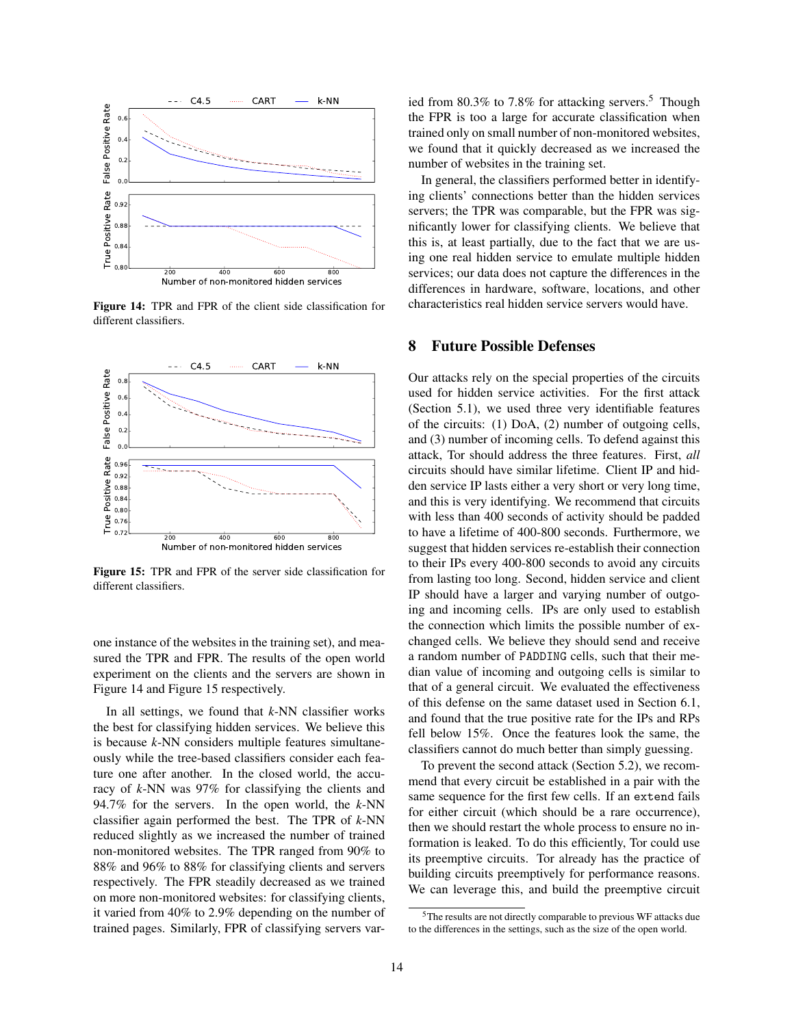

Figure 14: TPR and FPR of the client side classification for different classifiers.



Figure 15: TPR and FPR of the server side classification for different classifiers.

one instance of the websites in the training set), and measured the TPR and FPR. The results of the open world experiment on the clients and the servers are shown in Figure 14 and Figure 15 respectively.

In all settings, we found that *k*-NN classifier works the best for classifying hidden services. We believe this is because *k*-NN considers multiple features simultaneously while the tree-based classifiers consider each feature one after another. In the closed world, the accuracy of *k*-NN was 97% for classifying the clients and 94.7% for the servers. In the open world, the *k*-NN classifier again performed the best. The TPR of *k*-NN reduced slightly as we increased the number of trained non-monitored websites. The TPR ranged from 90% to 88% and 96% to 88% for classifying clients and servers respectively. The FPR steadily decreased as we trained on more non-monitored websites: for classifying clients, it varied from 40% to 2.9% depending on the number of trained pages. Similarly, FPR of classifying servers varied from 80.3% to 7.8% for attacking servers.<sup>5</sup> Though the FPR is too a large for accurate classification when trained only on small number of non-monitored websites, we found that it quickly decreased as we increased the number of websites in the training set.

In general, the classifiers performed better in identifying clients' connections better than the hidden services servers; the TPR was comparable, but the FPR was significantly lower for classifying clients. We believe that this is, at least partially, due to the fact that we are using one real hidden service to emulate multiple hidden services; our data does not capture the differences in the differences in hardware, software, locations, and other characteristics real hidden service servers would have.

## 8 Future Possible Defenses

Our attacks rely on the special properties of the circuits used for hidden service activities. For the first attack (Section 5.1), we used three very identifiable features of the circuits: (1) DoA, (2) number of outgoing cells, and (3) number of incoming cells. To defend against this attack, Tor should address the three features. First, *all* circuits should have similar lifetime. Client IP and hidden service IP lasts either a very short or very long time, and this is very identifying. We recommend that circuits with less than 400 seconds of activity should be padded to have a lifetime of 400-800 seconds. Furthermore, we suggest that hidden services re-establish their connection to their IPs every 400-800 seconds to avoid any circuits from lasting too long. Second, hidden service and client IP should have a larger and varying number of outgoing and incoming cells. IPs are only used to establish the connection which limits the possible number of exchanged cells. We believe they should send and receive a random number of PADDING cells, such that their median value of incoming and outgoing cells is similar to that of a general circuit. We evaluated the effectiveness of this defense on the same dataset used in Section 6.1, and found that the true positive rate for the IPs and RPs fell below 15%. Once the features look the same, the classifiers cannot do much better than simply guessing.

To prevent the second attack (Section 5.2), we recommend that every circuit be established in a pair with the same sequence for the first few cells. If an extend fails for either circuit (which should be a rare occurrence), then we should restart the whole process to ensure no information is leaked. To do this efficiently, Tor could use its preemptive circuits. Tor already has the practice of building circuits preemptively for performance reasons. We can leverage this, and build the preemptive circuit

<sup>5</sup>The results are not directly comparable to previous WF attacks due to the differences in the settings, such as the size of the open world.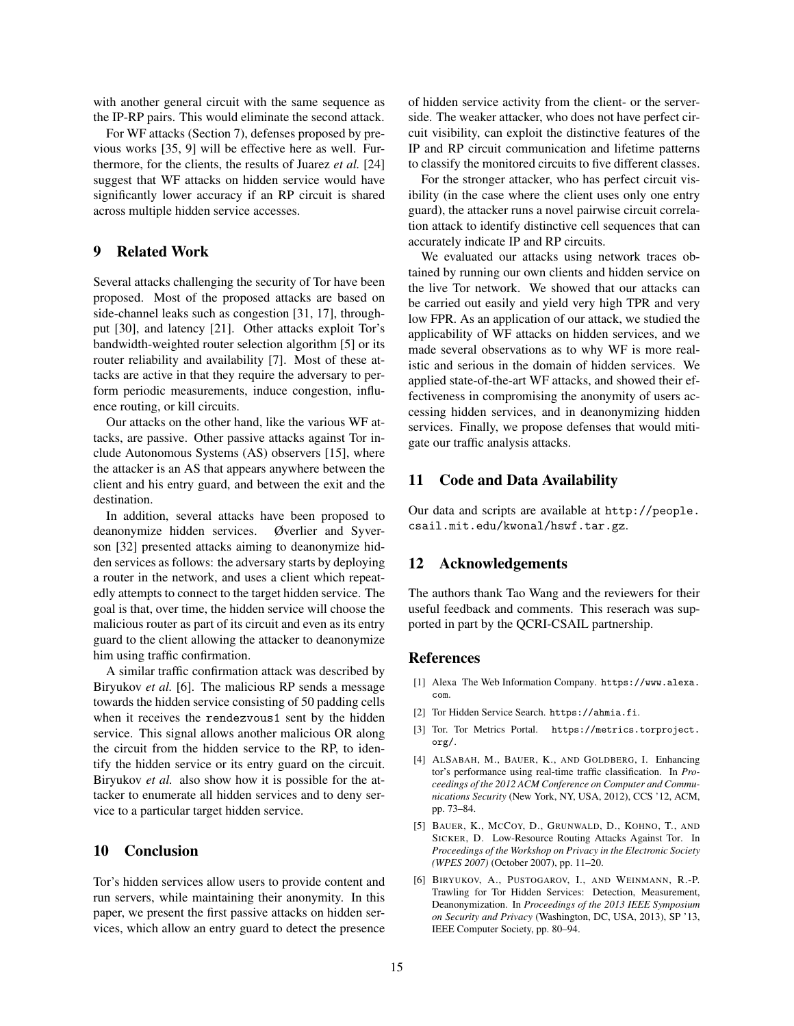with another general circuit with the same sequence as the IP-RP pairs. This would eliminate the second attack.

For WF attacks (Section 7), defenses proposed by previous works [35, 9] will be effective here as well. Furthermore, for the clients, the results of Juarez *et al.* [24] suggest that WF attacks on hidden service would have significantly lower accuracy if an RP circuit is shared across multiple hidden service accesses.

# 9 Related Work

Several attacks challenging the security of Tor have been proposed. Most of the proposed attacks are based on side-channel leaks such as congestion [31, 17], throughput [30], and latency [21]. Other attacks exploit Tor's bandwidth-weighted router selection algorithm [5] or its router reliability and availability [7]. Most of these attacks are active in that they require the adversary to perform periodic measurements, induce congestion, influence routing, or kill circuits.

Our attacks on the other hand, like the various WF attacks, are passive. Other passive attacks against Tor include Autonomous Systems (AS) observers [15], where the attacker is an AS that appears anywhere between the client and his entry guard, and between the exit and the destination.

In addition, several attacks have been proposed to deanonymize hidden services. Øverlier and Syverson [32] presented attacks aiming to deanonymize hidden services as follows: the adversary starts by deploying a router in the network, and uses a client which repeatedly attempts to connect to the target hidden service. The goal is that, over time, the hidden service will choose the malicious router as part of its circuit and even as its entry guard to the client allowing the attacker to deanonymize him using traffic confirmation.

A similar traffic confirmation attack was described by Biryukov *et al.* [6]. The malicious RP sends a message towards the hidden service consisting of 50 padding cells when it receives the rendezvous1 sent by the hidden service. This signal allows another malicious OR along the circuit from the hidden service to the RP, to identify the hidden service or its entry guard on the circuit. Biryukov *et al.* also show how it is possible for the attacker to enumerate all hidden services and to deny service to a particular target hidden service.

## 10 Conclusion

Tor's hidden services allow users to provide content and run servers, while maintaining their anonymity. In this paper, we present the first passive attacks on hidden services, which allow an entry guard to detect the presence of hidden service activity from the client- or the serverside. The weaker attacker, who does not have perfect circuit visibility, can exploit the distinctive features of the IP and RP circuit communication and lifetime patterns to classify the monitored circuits to five different classes.

For the stronger attacker, who has perfect circuit visibility (in the case where the client uses only one entry guard), the attacker runs a novel pairwise circuit correlation attack to identify distinctive cell sequences that can accurately indicate IP and RP circuits.

We evaluated our attacks using network traces obtained by running our own clients and hidden service on the live Tor network. We showed that our attacks can be carried out easily and yield very high TPR and very low FPR. As an application of our attack, we studied the applicability of WF attacks on hidden services, and we made several observations as to why WF is more realistic and serious in the domain of hidden services. We applied state-of-the-art WF attacks, and showed their effectiveness in compromising the anonymity of users accessing hidden services, and in deanonymizing hidden services. Finally, we propose defenses that would mitigate our traffic analysis attacks.

#### 11 Code and Data Availability

Our data and scripts are available at http://people. csail.mit.edu/kwonal/hswf.tar.gz.

#### 12 Acknowledgements

The authors thank Tao Wang and the reviewers for their useful feedback and comments. This reserach was supported in part by the QCRI-CSAIL partnership.

#### References

- [1] Alexa The Web Information Company. https://www.alexa. com.
- [2] Tor Hidden Service Search. https://ahmia.fi.
- [3] Tor. Tor Metrics Portal. https://metrics.torproject. org/.
- [4] ALSABAH, M., BAUER, K., AND GOLDBERG, I. Enhancing tor's performance using real-time traffic classification. In *Proceedings of the 2012 ACM Conference on Computer and Communications Security* (New York, NY, USA, 2012), CCS '12, ACM, pp. 73–84.
- [5] BAUER, K., MCCOY, D., GRUNWALD, D., KOHNO, T., AND SICKER, D. Low-Resource Routing Attacks Against Tor. In *Proceedings of the Workshop on Privacy in the Electronic Society (WPES 2007)* (October 2007), pp. 11–20.
- [6] BIRYUKOV, A., PUSTOGAROV, I., AND WEINMANN, R.-P. Trawling for Tor Hidden Services: Detection, Measurement, Deanonymization. In *Proceedings of the 2013 IEEE Symposium on Security and Privacy* (Washington, DC, USA, 2013), SP '13, IEEE Computer Society, pp. 80–94.